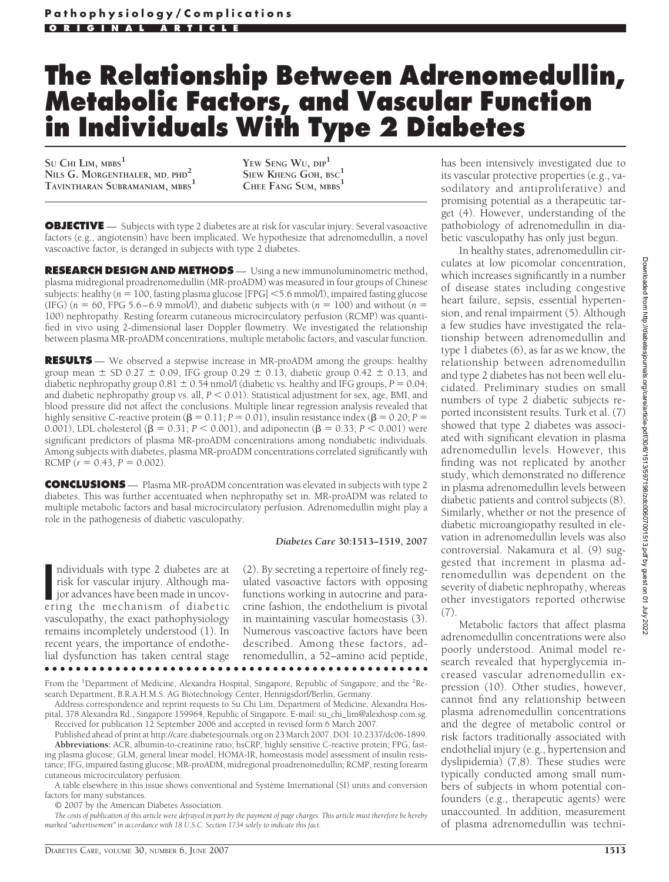# **The Relationship Between Adrenomedullin, Metabolic Factors, and Vascular Function in Individuals With Type 2 Diabetes**

**SU CHI LIM, MBBS<sup>1</sup> NILS G. MORGENTHALER, MD, PHD<sup>2</sup> TAVINTHARAN SUBRAMANIAM, MBBS<sup>1</sup>**

**YEW SENG WU, DIP<sup>1</sup> SIEW KHENG GOH, BSC<sup>1</sup> CHEE FANG SUM, MBBS<sup>1</sup>**

**OBJECTIVE** — Subjects with type 2 diabetes are at risk for vascular injury. Several vasoactive factors (e.g., angiotensin) have been implicated. We hypothesize that adrenomedullin, a novel vascoactive factor, is deranged in subjects with type 2 diabetes.

**RESEARCH DESIGN AND METHODS** — Using a new immunoluminometric method, plasma midregional proadrenomedullin (MR-proADM) was measured in four groups of Chinese subjects: healthy (*n* = 100, fasting plasma glucose [FPG] <5.6 mmol/l), impaired fasting glucose (IFG)  $(n = 60,$  FPG 5.6–6.9 mmol/l), and diabetic subjects with  $(n = 100)$  and without  $(n = 100)$ 100) nephropathy. Resting forearm cutaneous microcirculatory perfusion (RCMP) was quantified in vivo using 2-dimensional laser Doppler flowmetry. We investigated the relationship between plasma MR-proADM concentrations, multiple metabolic factors, and vascular function.

**RESULTS** — We observed a stepwise increase in MR-proADM among the groups: healthy group mean  $\pm$  SD 0.27  $\pm$  0.09, IFG group 0.29  $\pm$  0.13, diabetic group 0.42  $\pm$  0.13, and diabetic nephropathy group  $0.81 \pm 0.54$  nmol/l (diabetic vs. healthy and IFG groups,  $P = 0.04$ ; and diabetic nephropathy group vs. all,  $P < 0.01$ ). Statistical adjustment for sex, age, BMI, and blood pressure did not affect the conclusions. Multiple linear regression analysis revealed that highly sensitive C-reactive protein ( $\beta = 0.11$ ;  $P = 0.01$ ), insulin resistance index ( $\beta = 0.20$ ;  $P =$ 0.001), LDL cholesterol ( $\beta = 0.31$ ;  $P < 0.001$ ), and adiponectin ( $\beta = 0.33$ ;  $P < 0.001$ ) were significant predictors of plasma MR-proADM concentrations among nondiabetic individuals. Among subjects with diabetes, plasma MR-proADM concentrations correlated significantly with RCMP ( $r = 0.43$ ,  $P = 0.002$ ).

**CONCLUSIONS** — Plasma MR-proADM concentration was elevated in subjects with type 2 diabetes. This was further accentuated when nephropathy set in. MR-proADM was related to multiple metabolic factors and basal microcirculatory perfusion. Adrenomedullin might play a role in the pathogenesis of diabetic vasculopathy.

#### *Diabetes Care* **30:1513–1519, 2007**

ndividuals with type 2 diabetes are at risk for vascular injury. Although major advances have been made in uncovering the mechanism of diabetic ndividuals with type 2 diabetes are at risk for vascular injury. Although major advances have been made in uncovvasculopathy, the exact pathophysiology remains incompletely understood (1). In recent years, the importance of endothelial dysfunction has taken central stage

(2). By secreting a repertoire of finely regulated vasoactive factors with opposing functions working in autocrine and paracrine fashion, the endothelium is pivotal in maintaining vascular homeostasis (3). Numerous vascoactive factors have been described. Among these factors, adrenomedullin, a 52–amino acid peptide,

●●●●●●●●●●●●●●●●●●●●●●●●●●●●●●●●●●●●●●●●●●●●●●●●● From the <sup>1</sup>Department of Medicine, Alexandra Hospital, Singapore, Republic of Singapore; and the <sup>2</sup>Re-

search Department, B.R.A.H.M.S. AG Biotechnology Center, Hennigsdorf/Berlin, Germany. Address correspondence and reprint requests to Su Chi Lim, Department of Medicine, Alexandra Hos-

pital, 378 Alexandra Rd., Singapore 159964, Republic of Singapore. E-mail: su\_chi\_lim@alexhosp.com.sg. Received for publication 12 September 2006 and accepted in revised form 6 March 2007.

Published ahead of print at http://care.diabetesjournals.org on 23 March 2007. DOI: 10.2337/dc06-1899. **Abbreviations:** ACR, albumin-to-creatinine ratio; hsCRP, highly sensitive C-reactive protein; FPG, fasting plasma glucose; GLM, general linear model; HOMA-IR, homeostasis model assessment of insulin resistance; IFG, impaired fasting glucose; MR-proADM, midregional proadrenomedullin; RCMP, resting forearm cutaneous microcirculatory perfusion.

A table elsewhere in this issue shows conventional and Système International (SI) units and conversion factors for many substances.

© 2007 by the American Diabetes Association.

*The costs of publication of this article were defrayed in part by the payment of page charges. This article must therefore be hereby marked "advertisement" in accordance with 18 U.S.C. Section 1734 solely to indicate this fact.*

has been intensively investigated due to its vascular protective properties (e.g., vasodilatory and antiproliferative) and promising potential as a therapeutic target (4). However, understanding of the pathobiology of adrenomedullin in diabetic vasculopathy has only just begun.

In healthy states, adrenomedullin circulates at low picomolar concentration, which increases significantly in a number of disease states including congestive heart failure, sepsis, essential hypertension, and renal impairment (5). Although a few studies have investigated the relationship between adrenomedullin and type 1 diabetes (6), as far as we know, the relationship between adrenomedullin and type 2 diabetes has not been well elucidated. Preliminary studies on small numbers of type 2 diabetic subjects reported inconsistent results. Turk et al. (7) showed that type 2 diabetes was associated with significant elevation in plasma adrenomedullin levels. However, this finding was not replicated by another study, which demonstrated no difference in plasma adrenomedullin levels between diabetic patients and control subjects (8). Similarly, whether or not the presence of diabetic microangiopathy resulted in elevation in adrenomedullin levels was also controversial. Nakamura et al. (9) suggested that increment in plasma adrenomedullin was dependent on the severity of diabetic nephropathy, whereas other investigators reported otherwise (7).

Metabolic factors that affect plasma adrenomedullin concentrations were also poorly understood. Animal model research revealed that hyperglycemia increased vascular adrenomedullin expression (10). Other studies, however, cannot find any relationship between plasma adrenomedullin concentrations and the degree of metabolic control or risk factors traditionally associated with endothelial injury (e.g., hypertension and dyslipidemia) (7,8). These studies were typically conducted among small numbers of subjects in whom potential confounders (e.g., therapeutic agents) were unaccounted. In addition, measurement of plasma adrenomedullin was techni-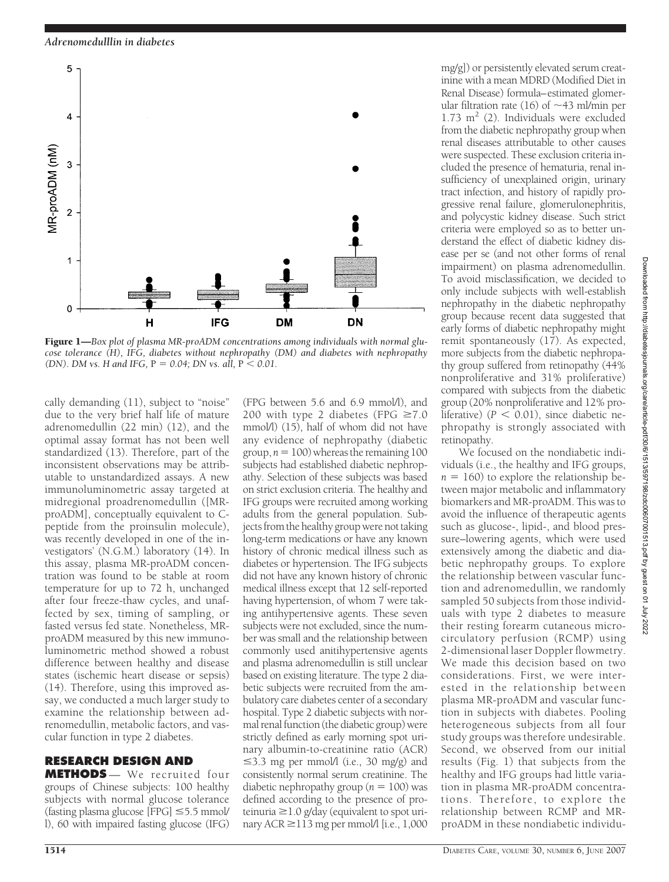*Adrenomedulllin in diabetes*



Figure 1—*Box plot of plasma MR-proADM concentrations among individuals with normal glucose tolerance (H), IFG, diabetes without nephropathy (DM) and diabetes with nephropathy (DN). DM vs. H and IFG, P = 0.04; DN vs. all, P < 0.01.* 

cally demanding (11), subject to "noise" due to the very brief half life of mature adrenomedullin (22 min) (12), and the optimal assay format has not been well standardized (13). Therefore, part of the inconsistent observations may be attributable to unstandardized assays. A new immunoluminometric assay targeted at midregional proadrenomedullin ([MRproADM], conceptually equivalent to Cpeptide from the proinsulin molecule), was recently developed in one of the investigators' (N.G.M.) laboratory (14). In this assay, plasma MR-proADM concentration was found to be stable at room temperature for up to 72 h, unchanged after four freeze-thaw cycles, and unaffected by sex, timing of sampling, or fasted versus fed state. Nonetheless, MRproADM measured by this new immunoluminometric method showed a robust difference between healthy and disease states (ischemic heart disease or sepsis) (14). Therefore, using this improved assay, we conducted a much larger study to examine the relationship between adrenomedullin, metabolic factors, and vascular function in type 2 diabetes.

# **RESEARCH DESIGN AND**

**METHODS** — We recruited four groups of Chinese subjects: 100 healthy subjects with normal glucose tolerance (fasting plasma glucose [FPG]  $\leq$ 5.5 mmol/ l), 60 with impaired fasting glucose (IFG)

200 with type 2 diabetes (FPG  $\geq 7.0$ mmol/l) (15), half of whom did not have any evidence of nephropathy (diabetic group,  $n = 100$ ) whereas the remaining 100 subjects had established diabetic nephropathy. Selection of these subjects was based on strict exclusion criteria. The healthy and IFG groups were recruited among working adults from the general population. Subjects from the healthy group were not taking long-term medications or have any known history of chronic medical illness such as diabetes or hypertension. The IFG subjects did not have any known history of chronic medical illness except that 12 self-reported having hypertension, of whom 7 were taking antihypertensive agents. These seven subjects were not excluded, since the number was small and the relationship between commonly used anitihypertensive agents and plasma adrenomedullin is still unclear based on existing literature. The type 2 diabetic subjects were recruited from the ambulatory care diabetes center of a secondary hospital. Type 2 diabetic subjects with normal renal function (the diabetic group) were strictly defined as early morning spot urinary albumin-to-creatinine ratio (ACR)  $\leq$ 3.3 mg per mmol/l (i.e., 30 mg/g) and consistently normal serum creatinine. The diabetic nephropathy group ( $n = 100$ ) was defined according to the presence of pro $t$ einuria  $\geq$ 1.0 g/day (equivalent to spot urinary ACR ≥113 mg per mmol/l [i.e., 1,000

(FPG between 5.6 and 6.9 mmol/l), and

mg/g]) or persistently elevated serum creatinine with a mean MDRD (Modified Diet in Renal Disease) formula–estimated glomerular filtration rate (16) of  $\sim$ 43 ml/min per  $1.73 \text{ m}^2$  (2). Individuals were excluded from the diabetic nephropathy group when renal diseases attributable to other causes were suspected. These exclusion criteria included the presence of hematuria, renal insufficiency of unexplained origin, urinary tract infection, and history of rapidly progressive renal failure, glomerulonephritis, and polycystic kidney disease. Such strict criteria were employed so as to better understand the effect of diabetic kidney disease per se (and not other forms of renal impairment) on plasma adrenomedullin. To avoid misclassification, we decided to only include subjects with well-establish nephropathy in the diabetic nephropathy group because recent data suggested that early forms of diabetic nephropathy might remit spontaneously (17). As expected, more subjects from the diabetic nephropathy group suffered from retinopathy (44% nonproliferative and 31% proliferative) compared with subjects from the diabetic group (20% nonproliferative and 12% proliferative)  $(P < 0.01)$ , since diabetic nephropathy is strongly associated with retinopathy.

We focused on the nondiabetic individuals (i.e., the healthy and IFG groups,  $n = 160$ ) to explore the relationship between major metabolic and inflammatory biomarkers and MR-proADM. This was to avoid the influence of therapeutic agents such as glucose-, lipid-, and blood pressure–lowering agents, which were used extensively among the diabetic and diabetic nephropathy groups. To explore the relationship between vascular function and adrenomedullin, we randomly sampled 50 subjects from those individuals with type 2 diabetes to measure their resting forearm cutaneous microcirculatory perfusion (RCMP) using 2-dimensional laser Doppler flowmetry. We made this decision based on two considerations. First, we were interested in the relationship between plasma MR-proADM and vascular function in subjects with diabetes. Pooling heterogeneous subjects from all four study groups was therefore undesirable. Second, we observed from our initial results (Fig. 1) that subjects from the healthy and IFG groups had little variation in plasma MR-proADM concentrations. Therefore, to explore the relationship between RCMP and MRproADM in these nondiabetic individu-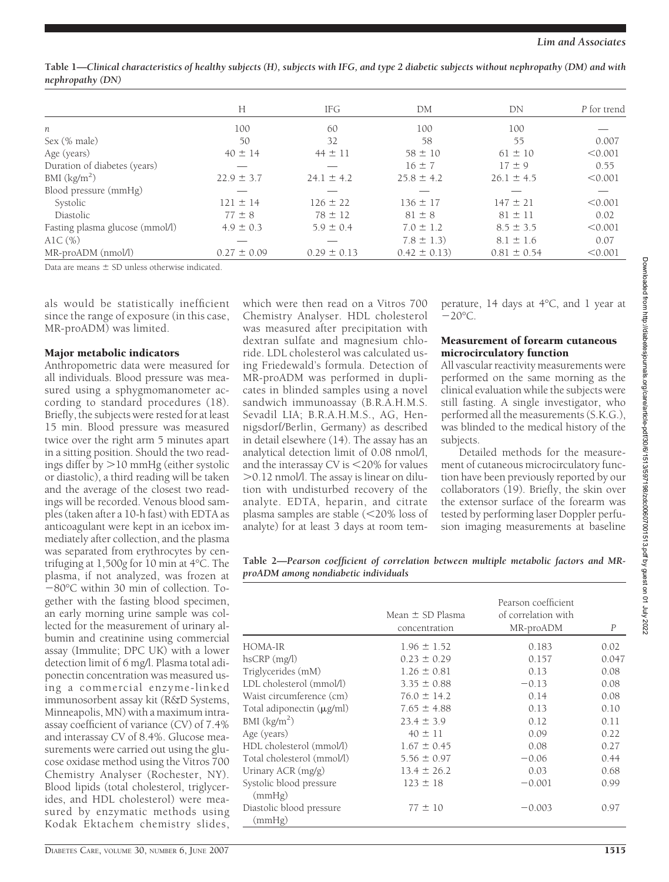|                                 | Н               | IFG             | DM              | DN              | P for trend |
|---------------------------------|-----------------|-----------------|-----------------|-----------------|-------------|
| n                               | 100             | 60              | 100             | 100             |             |
| Sex (% male)                    | 50              | 32              | 58              | 55              | 0.007       |
| Age (years)                     | $40 \pm 14$     | $44 \pm 11$     | $58 \pm 10$     | $61 \pm 10$     | < 0.001     |
| Duration of diabetes (years)    |                 |                 | $16 \pm 7$      | $17 \pm 9$      | 0.55        |
| BMI $(kg/m2)$                   | $22.9 \pm 3.7$  | $24.1 \pm 4.2$  | $25.8 \pm 4.2$  | $26.1 \pm 4.5$  | < 0.001     |
| Blood pressure (mmHg)           |                 |                 |                 |                 |             |
| Systolic                        | $121 \pm 14$    | $126 \pm 22$    | $136 \pm 17$    | $147 \pm 21$    | < 0.001     |
| Diastolic                       | $77 \pm 8$      | $78 \pm 12$     | $81 \pm 8$      | $81 \pm 11$     | 0.02        |
| Fasting plasma glucose (mmol/l) | $4.9 \pm 0.3$   | $5.9 \pm 0.4$   | $7.0 \pm 1.2$   | $8.5 \pm 3.5$   | < 0.001     |
| AlC $(\%)$                      |                 |                 | $7.8 \pm 1.3$   | $8.1 \pm 1.6$   | 0.07        |
| MR-proADM (nmol/l)              | $0.27 \pm 0.09$ | $0.29 \pm 0.13$ | $0.42 \pm 0.13$ | $0.81 \pm 0.54$ | < 0.001     |

**Table 1—***Clinical characteristics of healthy subjects (H), subjects with IFG, and type 2 diabetic subjects without nephropathy (DM) and with nephropathy (DN)*

Data are means  $\pm$  SD unless otherwise indicated.

als would be statistically inefficient since the range of exposure (in this case, MR-proADM) was limited.

#### Major metabolic indicators

Anthropometric data were measured for all individuals. Blood pressure was measured using a sphygmomanometer according to standard procedures (18). Briefly, the subjects were rested for at least 15 min. Blood pressure was measured twice over the right arm 5 minutes apart in a sitting position. Should the two readings differ by  $>$ 10 mmHg (either systolic or diastolic), a third reading will be taken and the average of the closest two readings will be recorded. Venous blood samples (taken after a 10-h fast) with EDTA as anticoagulant were kept in an icebox immediately after collection, and the plasma was separated from erythrocytes by centrifuging at 1,500*g* for 10 min at 4°C. The plasma, if not analyzed, was frozen at 80°C within 30 min of collection. Together with the fasting blood specimen, an early morning urine sample was collected for the measurement of urinary albumin and creatinine using commercial assay (Immulite; DPC UK) with a lower detection limit of 6 mg/l. Plasma total adiponectin concentration was measured using a commercial enzyme-linked immunosorbent assay kit (R&D Systems, Minneapolis, MN) with a maximum intraassay coefficient of variance (CV) of 7.4% and interassay CV of 8.4%. Glucose measurements were carried out using the glucose oxidase method using the Vitros 700 Chemistry Analyser (Rochester, NY). Blood lipids (total cholesterol, triglycerides, and HDL cholesterol) were measured by enzymatic methods using Kodak Ektachem chemistry slides,

which were then read on a Vitros 700 Chemistry Analyser. HDL cholesterol was measured after precipitation with dextran sulfate and magnesium chloride. LDL cholesterol was calculated using Friedewald's formula. Detection of MR-proADM was performed in duplicates in blinded samples using a novel sandwich immunoassay (B.R.A.H.M.S. Sevadil LIA; B.R.A.H.M.S., AG, Hennigsdorf/Berlin, Germany) as described in detail elsewhere (14). The assay has an analytical detection limit of 0.08 nmol/l, and the interassay CV is  $<$  20% for values 0.12 nmol/l. The assay is linear on dilution with undisturbed recovery of the analyte. EDTA, heparin, and citrate plasma samples are stable (<20% loss of analyte) for at least 3 days at room temperature, 14 days at 4°C, and 1 year at  $-20^{\circ}$ C.

## Measurement of forearm cutaneous microcirculatory function

All vascular reactivity measurements were performed on the same morning as the clinical evaluation while the subjects were still fasting. A single investigator, who performed all the measurements (S.K.G.), was blinded to the medical history of the subjects.

Detailed methods for the measurement of cutaneous microcirculatory function have been previously reported by our collaborators (19). Briefly, the skin over the extensor surface of the forearm was tested by performing laser Doppler perfusion imaging measurements at baseline

**Table 2—***Pearson coefficient of correlation between multiple metabolic factors and MRproADM among nondiabetic individuals*

|                                    | Mean $\pm$ SD Plasma<br>concentration | Pearson coefficient<br>of correlation with<br>MR-proADM | $\boldsymbol{P}$ |
|------------------------------------|---------------------------------------|---------------------------------------------------------|------------------|
| HOMA-IR                            | $1.96 \pm 1.52$                       | 0.183                                                   | 0.02             |
| $h$ s $CRP$ $(mg/l)$               | $0.23 \pm 0.29$                       | 0.157                                                   | 0.047            |
| Triglycerides (mM)                 | $1.26 \pm 0.81$                       | 0.13                                                    | 0.08             |
| LDL cholesterol (mmol/l)           | $3.35 \pm 0.88$                       | $-0.13$                                                 | 0.08             |
| Waist circumference (cm)           | $76.0 \pm 14.2$                       | 0.14                                                    | 0.08             |
| Total adiponectin $(\mu g/ml)$     | $7.65 \pm 4.88$                       | 0.13                                                    | 0.10             |
| BMI $(kg/m2)$                      | $23.4 \pm 3.9$                        | 0.12                                                    | 0.11             |
| Age (years)                        | $40 \pm 11$                           | 0.09                                                    | 0.22             |
| HDL cholesterol (mmol/l)           | $1.67 \pm 0.45$                       | 0.08                                                    | 0.27             |
| Total cholesterol (mmol/l)         | $5.56 \pm 0.97$                       | $-0.06$                                                 | 0.44             |
| Urinary ACR $(mg/g)$               | $13.4 \pm 26.2$                       | 0.03                                                    | 0.68             |
| Systolic blood pressure<br>(mmHg)  | $123 \pm 18$                          | $-0.001$                                                | 0.99             |
| Diastolic blood pressure<br>(mmHg) | $77 \pm 10$                           | $-0.003$                                                | 0.97             |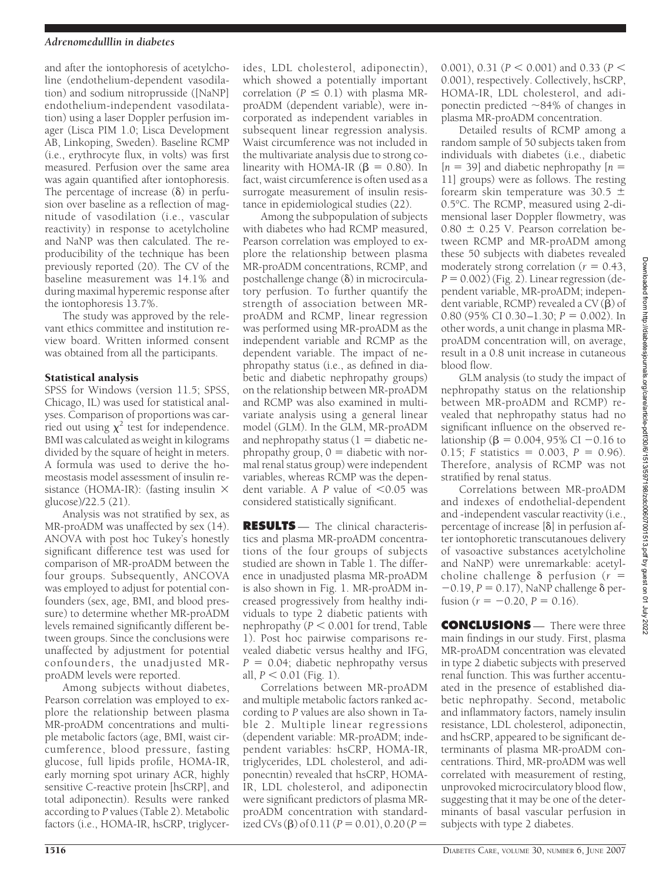## *Adrenomedulllin in diabetes*

and after the iontophoresis of acetylcholine (endothelium-dependent vasodilation) and sodium nitroprusside ([NaNP] endothelium-independent vasodilatation) using a laser Doppler perfusion imager (Lisca PIM 1.0; Lisca Development AB, Linkoping, Sweden). Baseline RCMP (i.e., erythrocyte flux, in volts) was first measured. Perfusion over the same area was again quantified after iontophoresis. The percentage of increase  $(\delta)$  in perfusion over baseline as a reflection of magnitude of vasodilation (i.e., vascular reactivity) in response to acetylcholine and NaNP was then calculated. The reproducibility of the technique has been previously reported (20). The CV of the baseline measurement was 14.1% and during maximal hyperemic response after the iontophoresis 13.7%.

The study was approved by the relevant ethics committee and institution review board. Written informed consent was obtained from all the participants.

## Statistical analysis

SPSS for Windows (version 11.5; SPSS, Chicago, IL) was used for statistical analyses. Comparison of proportions was carried out using  $\chi^2$  test for independence. BMI was calculated as weight in kilograms divided by the square of height in meters. A formula was used to derive the homeostasis model assessment of insulin resistance (HOMA-IR): (fasting insulin  $\times$ glucose)/22.5 (21).

Analysis was not stratified by sex, as MR-proADM was unaffected by sex (14). ANOVA with post hoc Tukey's honestly significant difference test was used for comparison of MR-proADM between the four groups. Subsequently, ANCOVA was employed to adjust for potential confounders (sex, age, BMI, and blood pressure) to determine whether MR-proADM levels remained significantly different between groups. Since the conclusions were unaffected by adjustment for potential confounders, the unadjusted MRproADM levels were reported.

Among subjects without diabetes, Pearson correlation was employed to explore the relationship between plasma MR-proADM concentrations and multiple metabolic factors (age, BMI, waist circumference, blood pressure, fasting glucose, full lipids profile, HOMA-IR, early morning spot urinary ACR, highly sensitive C-reactive protein [hsCRP], and total adiponectin). Results were ranked according to *P* values (Table 2). Metabolic factors (i.e., HOMA-IR, hsCRP, triglycer-

ides, LDL cholesterol, adiponectin), which showed a potentially important correlation ( $P \leq 0.1$ ) with plasma MRproADM (dependent variable), were incorporated as independent variables in subsequent linear regression analysis. Waist circumference was not included in the multivariate analysis due to strong colinearity with HOMA-IR  $(\beta = 0.80)$ . In fact, waist circumference is often used as a surrogate measurement of insulin resistance in epidemiological studies (22).

Among the subpopulation of subjects with diabetes who had RCMP measured, Pearson correlation was employed to explore the relationship between plasma MR-proADM concentrations, RCMP, and postchallenge change  $(\delta)$  in microcirculatory perfusion. To further quantify the strength of association between MRproADM and RCMP, linear regression was performed using MR-proADM as the independent variable and RCMP as the dependent variable. The impact of nephropathy status (i.e., as defined in diabetic and diabetic nephropathy groups) on the relationship between MR-proADM and RCMP was also examined in multivariate analysis using a general linear model (GLM). In the GLM, MR-proADM and nephropathy status  $(1 -$  diabetic nephropathy group,  $0 =$  diabetic with normal renal status group) were independent variables, whereas RCMP was the dependent variable. A  $P$  value of  $\leq 0.05$  was considered statistically significant.

**RESULTS** — The clinical characteristics and plasma MR-proADM concentrations of the four groups of subjects studied are shown in Table 1. The difference in unadjusted plasma MR-proADM is also shown in Fig. 1. MR-proADM increased progressively from healthy individuals to type 2 diabetic patients with nephropathy ( $P < 0.001$  for trend, Table 1). Post hoc pairwise comparisons revealed diabetic versus healthy and IFG,  $P = 0.04$ ; diabetic nephropathy versus all, *P* < 0.01 (Fig. 1).

Correlations between MR-proADM and multiple metabolic factors ranked according to *P* values are also shown in Table 2. Multiple linear regressions (dependent variable: MR-proADM; independent variables: hsCRP, HOMA-IR, triglycerides, LDL cholesterol, and adiponecntin) revealed that hsCRP, HOMA-IR, LDL cholesterol, and adiponectin were significant predictors of plasma MRproADM concentration with standardized CVs ( $\beta$ ) of 0.11 ( $P = 0.01$ ), 0.20 ( $P =$ 

0.001), 0.31 ( $P < 0.001$ ) and 0.33 ( $P <$ 0.001), respectively. Collectively, hsCRP, HOMA-IR, LDL cholesterol, and adiponectin predicted  $\sim$ 84% of changes in plasma MR-proADM concentration.

Detailed results of RCMP among a random sample of 50 subjects taken from individuals with diabetes (i.e., diabetic  $[n = 39]$  and diabetic nephropathy  $[n = 1]$ 11] groups) were as follows. The resting forearm skin temperature was 30.5  $\pm$ 0.5°C. The RCMP, measured using 2-dimensional laser Doppler flowmetry, was  $0.80 \pm 0.25$  V. Pearson correlation between RCMP and MR-proADM among these 50 subjects with diabetes revealed moderately strong correlation ( $r = 0.43$ ,  $P = 0.002$ ) (Fig. 2). Linear regression (dependent variable, MR-proADM; independent variable, RCMP) revealed a  $CV(B)$  of 0.80 (95% CI 0.30–1.30;  $P = 0.002$ ). In other words, a unit change in plasma MRproADM concentration will, on average, result in a 0.8 unit increase in cutaneous blood flow.

GLM analysis (to study the impact of nephropathy status on the relationship between MR-proADM and RCMP) revealed that nephropathy status had no significant influence on the observed relationship ( $\beta = 0.004$ , 95% CI -0.16 to 0.15; *F* statistics = 0.003, *P* = 0.96). Therefore, analysis of RCMP was not stratified by renal status.

Correlations between MR-proADM and indexes of endothelial-dependent and -independent vascular reactivity (i.e., percentage of increase  $[\delta]$  in perfusion after iontophoretic transcutanoues delivery of vasoactive substances acetylcholine and NaNP) were unremarkable: acetylcholine challenge  $\delta$  perfusion ( $r =$  $-0.19$ ,  $P = 0.17$ ), NaNP challenge  $\delta$  perfusion ( $r = -0.20$ ,  $P = 0.16$ ).

**CONCLUSIONS** — There were three main findings in our study. First, plasma MR-proADM concentration was elevated in type 2 diabetic subjects with preserved renal function. This was further accentuated in the presence of established diabetic nephropathy. Second, metabolic and inflammatory factors, namely insulin resistance, LDL cholesterol, adiponectin, and hsCRP, appeared to be significant determinants of plasma MR-proADM concentrations. Third, MR-proADM was well correlated with measurement of resting, unprovoked microcirculatory blood flow, suggesting that it may be one of the determinants of basal vascular perfusion in subjects with type 2 diabetes.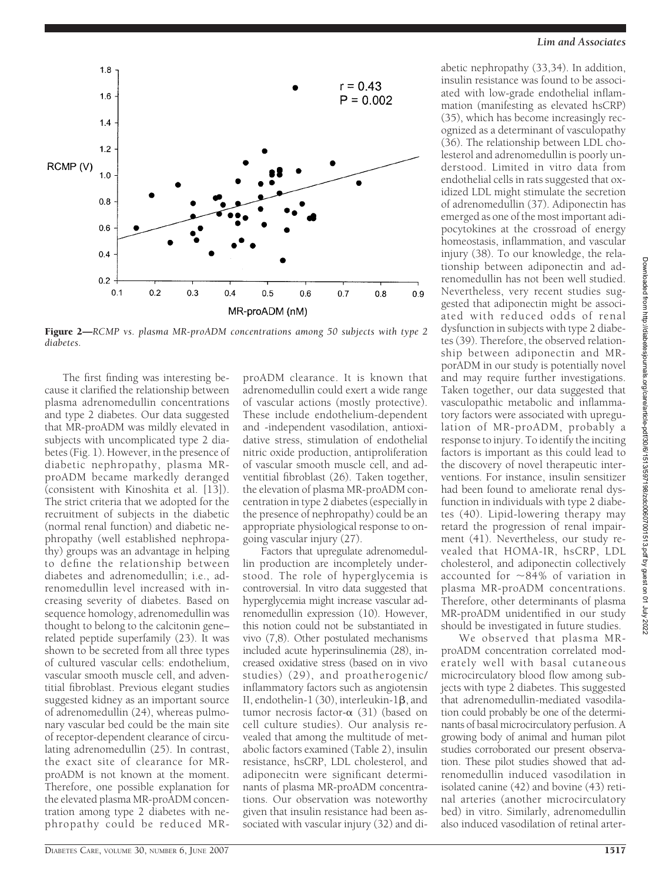

Figure 2—*RCMP vs. plasma MR-proADM concentrations among 50 subjects with type 2 diabetes.*

The first finding was interesting because it clarified the relationship between plasma adrenomedullin concentrations and type 2 diabetes. Our data suggested that MR-proADM was mildly elevated in subjects with uncomplicated type 2 diabetes (Fig. 1). However, in the presence of diabetic nephropathy, plasma MRproADM became markedly deranged (consistent with Kinoshita et al. [13]). The strict criteria that we adopted for the recruitment of subjects in the diabetic (normal renal function) and diabetic nephropathy (well established nephropathy) groups was an advantage in helping to define the relationship between diabetes and adrenomedullin; i.e., adrenomedullin level increased with increasing severity of diabetes. Based on sequence homology, adrenomedullin was thought to belong to the calcitonin gene– related peptide superfamily (23). It was shown to be secreted from all three types of cultured vascular cells: endothelium, vascular smooth muscle cell, and adventitial fibroblast. Previous elegant studies suggested kidney as an important source of adrenomedullin (24), whereas pulmonary vascular bed could be the main site of receptor-dependent clearance of circulating adrenomedullin (25). In contrast, the exact site of clearance for MRproADM is not known at the moment. Therefore, one possible explanation for the elevated plasma MR-proADM concentration among type 2 diabetes with nephropathy could be reduced MR-

proADM clearance. It is known that adrenomedullin could exert a wide range of vascular actions (mostly protective). These include endothelium-dependent and -independent vasodilation, antioxidative stress, stimulation of endothelial nitric oxide production, antiproliferation of vascular smooth muscle cell, and adventitial fibroblast (26). Taken together, the elevation of plasma MR-proADM concentration in type 2 diabetes (especially in the presence of nephropathy) could be an appropriate physiological response to ongoing vascular injury (27).

Factors that upregulate adrenomedullin production are incompletely understood. The role of hyperglycemia is controversial. In vitro data suggested that hyperglycemia might increase vascular adrenomedullin expression (10). However, this notion could not be substantiated in vivo (7,8). Other postulated mechanisms included acute hyperinsulinemia (28), increased oxidative stress (based on in vivo studies) (29), and proatherogenic/ inflammatory factors such as angiotensin II, endothelin-1 (30), interleukin-1<sub>8</sub>, and tumor necrosis factor- $\alpha$  (31) (based on cell culture studies). Our analysis revealed that among the multitude of metabolic factors examined (Table 2), insulin resistance, hsCRP, LDL cholesterol, and adiponecitn were significant determinants of plasma MR-proADM concentrations. Our observation was noteworthy given that insulin resistance had been associated with vascular injury (32) and di-

#### *Lim and Associates*

abetic nephropathy (33,34). In addition, insulin resistance was found to be associated with low-grade endothelial inflammation (manifesting as elevated hsCRP) (35), which has become increasingly recognized as a determinant of vasculopathy (36). The relationship between LDL cholesterol and adrenomedullin is poorly understood. Limited in vitro data from endothelial cells in rats suggested that oxidized LDL might stimulate the secretion of adrenomedullin (37). Adiponectin has emerged as one of the most important adipocytokines at the crossroad of energy homeostasis, inflammation, and vascular injury (38). To our knowledge, the relationship between adiponectin and adrenomedullin has not been well studied. Nevertheless, very recent studies suggested that adiponectin might be associated with reduced odds of renal dysfunction in subjects with type 2 diabetes (39). Therefore, the observed relationship between adiponectin and MRporADM in our study is potentially novel and may require further investigations. Taken together, our data suggested that vasculopathic metabolic and inflammatory factors were associated with upregulation of MR-proADM, probably a response to injury. To identify the inciting factors is important as this could lead to the discovery of novel therapeutic interventions. For instance, insulin sensitizer had been found to ameliorate renal dysfunction in individuals with type 2 diabetes (40). Lipid-lowering therapy may retard the progression of renal impairment (41). Nevertheless, our study revealed that HOMA-IR, hsCRP, LDL cholesterol, and adiponectin collectively accounted for  $\sim$ 84% of variation in plasma MR-proADM concentrations. Therefore, other determinants of plasma MR-proADM unidentified in our study should be investigated in future studies.

We observed that plasma MRproADM concentration correlated moderately well with basal cutaneous microcirculatory blood flow among subjects with type 2 diabetes. This suggested that adrenomedullin-mediated vasodilation could probably be one of the determinants of basal microcirculatory perfusion. A growing body of animal and human pilot studies corroborated our present observation. These pilot studies showed that adrenomedullin induced vasodilation in isolated canine (42) and bovine (43) retinal arteries (another microcirculatory bed) in vitro. Similarly, adrenomedullin also induced vasodilation of retinal arter-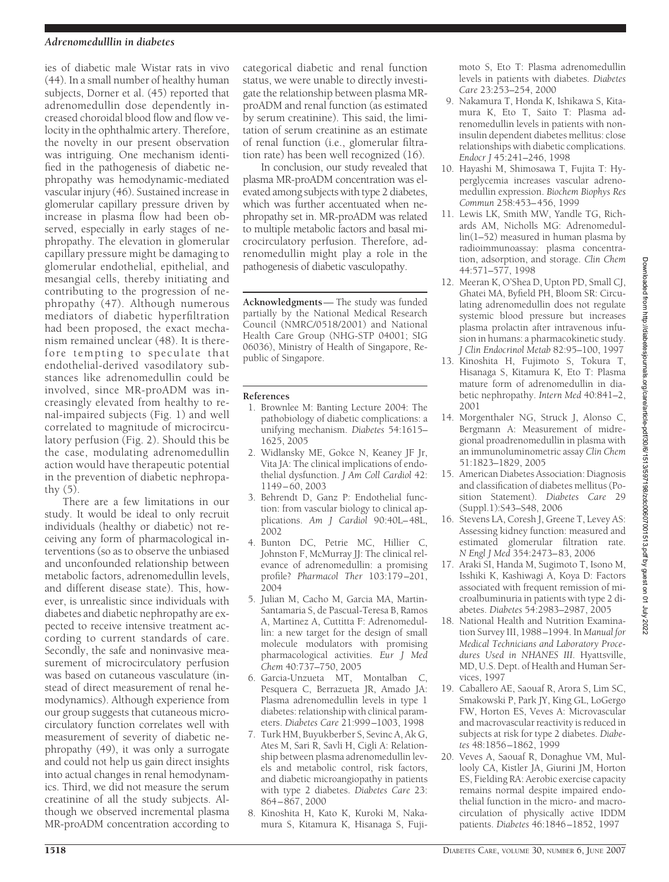## *Adrenomedulllin in diabetes*

ies of diabetic male Wistar rats in vivo (44). In a small number of healthy human subjects, Dorner et al. (45) reported that adrenomedullin dose dependently increased choroidal blood flow and flow velocity in the ophthalmic artery. Therefore, the novelty in our present observation was intriguing. One mechanism identified in the pathogenesis of diabetic nephropathy was hemodynamic-mediated vascular injury (46). Sustained increase in glomerular capillary pressure driven by increase in plasma flow had been observed, especially in early stages of nephropathy. The elevation in glomerular capillary pressure might be damaging to glomerular endothelial, epithelial, and mesangial cells, thereby initiating and contributing to the progression of nephropathy (47). Although numerous mediators of diabetic hyperfiltration had been proposed, the exact mechanism remained unclear (48). It is therefore tempting to speculate that endothelial-derived vasodilatory substances like adrenomedullin could be involved, since MR-proADM was increasingly elevated from healthy to renal-impaired subjects (Fig. 1) and well correlated to magnitude of microcirculatory perfusion (Fig. 2). Should this be the case, modulating adrenomedullin action would have therapeutic potential in the prevention of diabetic nephropathy  $(5)$ .

There are a few limitations in our study. It would be ideal to only recruit individuals (healthy or diabetic) not receiving any form of pharmacological interventions (so as to observe the unbiased and unconfounded relationship between metabolic factors, adrenomedullin levels, and different disease state). This, however, is unrealistic since individuals with diabetes and diabetic nephropathy are expected to receive intensive treatment according to current standards of care. Secondly, the safe and noninvasive measurement of microcirculatory perfusion was based on cutaneous vasculature (instead of direct measurement of renal hemodynamics). Although experience from our group suggests that cutaneous microcirculatory function correlates well with measurement of severity of diabetic nephropathy (49), it was only a surrogate and could not help us gain direct insights into actual changes in renal hemodynamics. Third, we did not measure the serum creatinine of all the study subjects. Although we observed incremental plasma MR-proADM concentration according to

categorical diabetic and renal function status, we were unable to directly investigate the relationship between plasma MRproADM and renal function (as estimated by serum creatinine). This said, the limitation of serum creatinine as an estimate of renal function (i.e., glomerular filtration rate) has been well recognized (16).

In conclusion, our study revealed that plasma MR-proADM concentration was elevated among subjects with type 2 diabetes, which was further accentuated when nephropathy set in. MR-proADM was related to multiple metabolic factors and basal microcirculatory perfusion. Therefore, adrenomedullin might play a role in the pathogenesis of diabetic vasculopathy.

**Acknowledgments**— The study was funded partially by the National Medical Research Council (NMRC/0518/2001) and National Health Care Group (NHG-STP 04001; SIG 06036), Ministry of Health of Singapore, Republic of Singapore.

# **References**

- 1. Brownlee M: Banting Lecture 2004: The pathobiology of diabetic complications: a unifying mechanism. *Diabetes* 54:1615– 1625, 2005
- 2. Widlansky ME, Gokce N, Keaney JF Jr, Vita JA: The clinical implications of endothelial dysfunction. *J Am Coll Cardiol* 42: 1149–60, 2003
- 3. Behrendt D, Ganz P: Endothelial function: from vascular biology to clinical applications. *Am J Cardiol* 90:40L–48L, 2002
- 4. Bunton DC, Petrie MC, Hillier C, Johnston F, McMurray JJ: The clinical relevance of adrenomedullin: a promising profile? *Pharmacol Ther* 103:179–201, 2004
- 5. Julian M, Cacho M, Garcia MA, Martin-Santamaria S, de Pascual-Teresa B, Ramos A, Martinez A, Cuttitta F: Adrenomedullin: a new target for the design of small molecule modulators with promising pharmacological activities. *Eur J Med Chem* 40:737–750, 2005
- 6. Garcia-Unzueta MT, Montalban C, Pesquera C, Berrazueta JR, Amado JA: Plasma adrenomedullin levels in type 1 diabetes: relationship with clinical parameters. *Diabetes Care* 21:999–1003, 1998
- 7. Turk HM, Buyukberber S, Sevinc A, Ak G, Ates M, Sari R, Savli H, Cigli A: Relationship between plasma adrenomedullin levels and metabolic control, risk factors, and diabetic microangiopathy in patients with type 2 diabetes. *Diabetes Care* 23: 864–867, 2000
- 8. Kinoshita H, Kato K, Kuroki M, Nakamura S, Kitamura K, Hisanaga S, Fuji-

moto S, Eto T: Plasma adrenomedullin levels in patients with diabetes. *Diabetes Care* 23:253–254, 2000

- 9. Nakamura T, Honda K, Ishikawa S, Kitamura K, Eto T, Saito T: Plasma adrenomedullin levels in patients with noninsulin dependent diabetes mellitus: close relationships with diabetic complications. *Endocr J* 45:241–246, 1998
- 10. Hayashi M, Shimosawa T, Fujita T: Hyperglycemia increases vascular adrenomedullin expression. *Biochem Biophys Res Commun* 258:453–456, 1999
- 11. Lewis LK, Smith MW, Yandle TG, Richards AM, Nicholls MG: Adrenomedullin(1–52) measured in human plasma by radioimmunoassay: plasma concentration, adsorption, and storage. *Clin Chem* 44:571–577, 1998
- 12. Meeran K, O'Shea D, Upton PD, Small CJ, Ghatei MA, Byfield PH, Bloom SR: Circulating adrenomedullin does not regulate systemic blood pressure but increases plasma prolactin after intravenous infusion in humans: a pharmacokinetic study. *J Clin Endocrinol Metab* 82:95–100, 1997
- 13. Kinoshita H, Fujimoto S, Tokura T, Hisanaga S, Kitamura K, Eto T: Plasma mature form of adrenomedullin in diabetic nephropathy. *Intern Med* 40:841–2, 2001
- 14. Morgenthaler NG, Struck J, Alonso C, Bergmann A: Measurement of midregional proadrenomedullin in plasma with an immunoluminometric assay *Clin Chem* 51:1823–1829, 2005
- 15. American Diabetes Association: Diagnosis and classification of diabetes mellitus (Position Statement). *Diabetes Care* 29 (Suppl.1):S43–S48, 2006
- 16. Stevens LA, Coresh J, Greene T, Levey AS: Assessing kidney function: measured and estimated glomerular filtration rate. *N Engl J Med* 354:2473–83, 2006
- 17. Araki SI, Handa M, Sugimoto T, Isono M, Isshiki K, Kashiwagi A, Koya D: Factors associated with frequent remission of microalbuminuria in patients with type 2 diabetes. *Diabetes* 54:2983–2987, 2005
- 18. National Health and Nutrition Examination Survey III, 1988–1994. In *Manual for Medical Technicians and Laboratory Procedures Used in NHANES III*. Hyattsville, MD, U.S. Dept. of Health and Human Services, 1997
- 19. Caballero AE, Saouaf R, Arora S, Lim SC, Smakowski P, Park JY, King GL, LoGergo FW, Horton ES, Veves A: Microvascular and macrovascular reactivity is reduced in subjects at risk for type 2 diabetes. *Diabetes* 48:1856–1862, 1999
- 20. Veves A, Saouaf R, Donaghue VM, Mullooly CA, Kistler JA, Giurini JM, Horton ES, Fielding RA: Aerobic exercise capacity remains normal despite impaired endothelial function in the micro- and macrocirculation of physically active IDDM patients. *Diabetes* 46:1846–1852, 1997